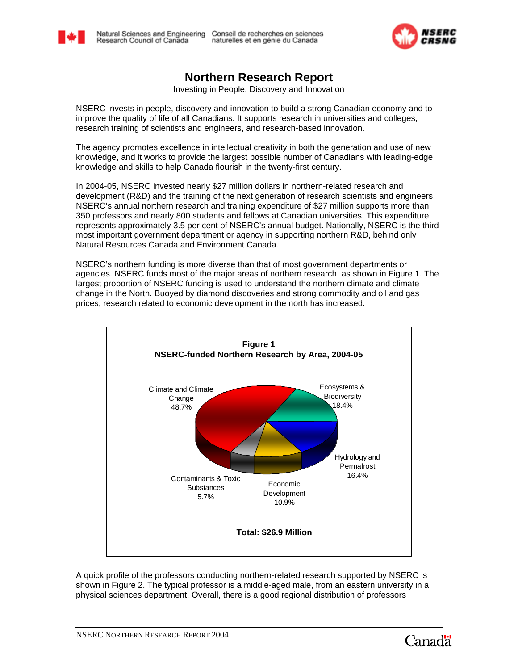



# **Northern Research Report**

Investing in People, Discovery and Innovation

NSERC invests in people, discovery and innovation to build a strong Canadian economy and to improve the quality of life of all Canadians. It supports research in universities and colleges, research training of scientists and engineers, and research-based innovation.

The agency promotes excellence in intellectual creativity in both the generation and use of new knowledge, and it works to provide the largest possible number of Canadians with leading-edge knowledge and skills to help Canada flourish in the twenty-first century.

In 2004-05, NSERC invested nearly \$27 million dollars in northern-related research and development (R&D) and the training of the next generation of research scientists and engineers. NSERC's annual northern research and training expenditure of \$27 million supports more than 350 professors and nearly 800 students and fellows at Canadian universities. This expenditure represents approximately 3.5 per cent of NSERC's annual budget. Nationally, NSERC is the third most important government department or agency in supporting northern R&D, behind only Natural Resources Canada and Environment Canada.

NSERC's northern funding is more diverse than that of most government departments or agencies. NSERC funds most of the major areas of northern research, as shown in Figure 1. The largest proportion of NSERC funding is used to understand the northern climate and climate change in the North. Buoyed by diamond discoveries and strong commodity and oil and gas prices, research related to economic development in the north has increased.



A quick profile of the professors conducting northern-related research supported by NSERC is shown in Figure 2. The typical professor is a middle-aged male, from an eastern university in a physical sciences department. Overall, there is a good regional distribution of professors

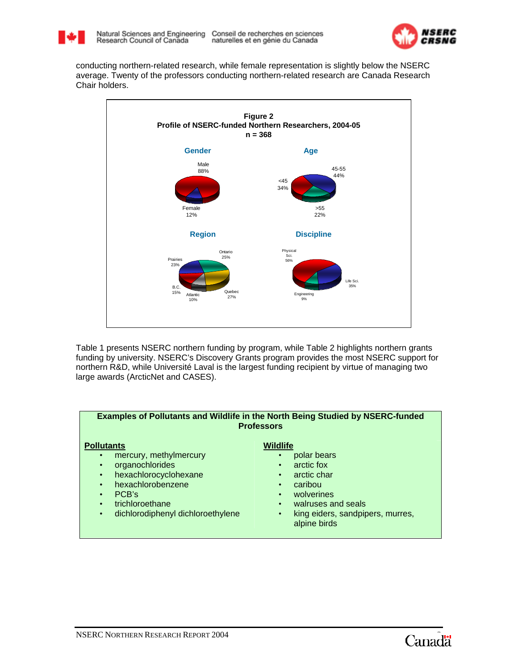



conducting northern-related research, while female representation is slightly below the NSERC average. Twenty of the professors conducting northern-related research are Canada Research Chair holders.



Table 1 presents NSERC northern funding by program, while Table 2 highlights northern grants funding by university. NSERC's Discovery Grants program provides the most NSERC support for northern R&D, while Université Laval is the largest funding recipient by virtue of managing two large awards (ArcticNet and CASES).



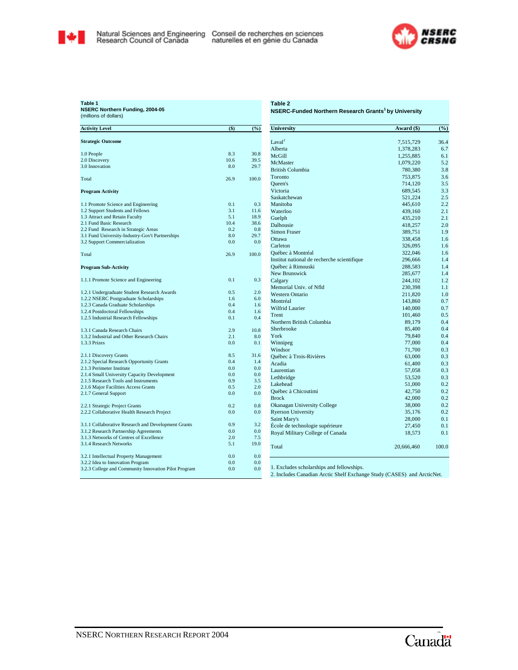



**Table 1 NSERC Northern Funding, 2004-05** (millions of dollars)

#### **Table 2 NSERC-Funded Northern Research Grants1 by University**

| <b>Activity Level</b>                                                                   | $($ \$)     | (%)         | Universit          |
|-----------------------------------------------------------------------------------------|-------------|-------------|--------------------|
| <b>Strategic Outcome</b>                                                                |             |             | Laval <sup>2</sup> |
|                                                                                         |             |             | Alberta            |
| 1.0 People                                                                              | 8.3         | 30.8        | McGill             |
| 2.0 Discovery                                                                           | 10.6        | 39.5        | <b>McMaste</b>     |
| 3.0 Innovation                                                                          | 8.0         | 29.7        | <b>British Co</b>  |
| Total                                                                                   | 26.9        | 100.0       | Toronto            |
|                                                                                         |             |             | Queen's            |
| <b>Program Activity</b>                                                                 |             |             | Victoria           |
|                                                                                         |             |             | Saskatche          |
| 1.1 Promote Science and Engineering                                                     | 0.1         | 0.3         | Manitoba           |
| 1.2 Support Students and Fellows                                                        | 3.1         | 11.6        | Waterloo           |
| 1.3 Attract and Retain Faculty                                                          | 5.1         | 18.9        | Guelph             |
| 2.1 Fund Basic Research                                                                 | 10.4<br>0.2 | 38.6<br>0.8 | Dalhousie          |
| 2.2 Fund Research in Strategic Areas<br>3.1 Fund University-Industry-Gov't Partnerships | 8.0         | 29.7        | Simon Fra          |
| 3.2 Support Commercialization                                                           | 0.0         | 0.0         | Ottawa             |
|                                                                                         |             |             | Carleton           |
| Total                                                                                   | 26.9        | 100.0       | Québec à           |
|                                                                                         |             |             | Institut na        |
| Program Sub-Activity                                                                    |             |             | Québec à           |
|                                                                                         |             |             | New Brui           |
| 1.1.1 Promote Science and Engineering                                                   | 0.1         | 0.3         | Calgary            |
|                                                                                         |             |             | Memorial           |
| 1.2.1 Undergraduate Student Research Awards                                             | 0.5         | 2.0         | Western (          |
| 1.2.2 NSERC Postgraduate Scholarships                                                   | 1.6         | 6.0         | Montréal           |
| 1.2.3 Canada Graduate Scholarships<br>1.2.4 Postdoctoral Fellowships                    | 0.4<br>0.4  | 1.6<br>1.6  | Wilfrid L          |
| 1.2.5 Industrial Research Fellowships                                                   | 0.1         | 0.4         | Trent              |
|                                                                                         |             |             | Northern           |
| 1.3.1 Canada Research Chairs                                                            | 2.9         | 10.8        | Sherbrool          |
| 1.3.2 Industrial and Other Research Chairs                                              | 2.1         | 8.0         | York               |
| 1.3.3 Prizes                                                                            | 0.0         | 0.1         | Winnipeg           |
|                                                                                         |             |             | Windsor            |
| 2.1.1 Discovery Grants                                                                  | 8.5         | 31.6        | Ouébec à           |
| 2.1.2 Special Research Opportunity Grants                                               | 0.4         | 1.4         | Acadia             |
| 2.1.3 Perimeter Institute                                                               | 0.0         | 0.0         | Laurentia          |
| 2.1.4 Small University Capacity Development                                             | 0.0<br>0.9  | 0.0<br>3.5  | Lethbridg          |
| 2.1.5 Research Tools and Instruments<br>2.1.6 Major Facilities Access Grants            | 0.5         | 2.0         | Lakehead           |
| 2.1.7 General Support                                                                   | 0.0         | 0.0         | Québec à           |
|                                                                                         |             |             | <b>Brock</b>       |
| 2.2.1 Strategic Project Grants                                                          | 0.2         | 0.8         | Okanagar           |
| 2.2.2 Collaborative Health Research Project                                             | 0.0         | 0.0         | Ryerson I          |
|                                                                                         |             |             | Saint Mar          |
| 3.1.1 Collaborative Research and Development Grants                                     | 0.9         | 3.2         | École de t         |
| 3.1.2 Research Partnership Agreements                                                   | 0.0         | 0.0         | Royal Mi           |
| 3.1.3 Networks of Centres of Excellence                                                 | 2.0         | 7.5         |                    |
| 3.1.4 Research Networks                                                                 | 5.1         | 19.0        | Total              |
| 3.2.1 Intellectual Property Management                                                  | 0.0         | 0.0         |                    |
| 3.2.2 Idea to Innovation Program                                                        | 0.0         | 0.0         |                    |
| 3.2.3 College and Community Innovation Pilot Program                                    | 0.0         | 0.0         | 1. Exclud          |
|                                                                                         |             |             | 2. Include         |

| <b>University</b>                           | Award (\$)         | (%)   |
|---------------------------------------------|--------------------|-------|
| Laval <sup>2</sup>                          | 7,515,729          | 36.4  |
| Alberta                                     | 1,378,283          | 6.7   |
| McGill                                      | 1,255,885          | 6.1   |
| McMaster                                    | 1,079,220          | 5.2   |
| <b>British Columbia</b>                     | 780,380            | 3.8   |
| Toronto                                     | 753,875            | 3.6   |
| <b>Oueen's</b>                              | 714,120            | 3.5   |
| Victoria                                    | 689,545            | 3.3   |
| Saskatchewan                                | 521,224            | 2.5   |
| Manitoba                                    | 445,610            | 2.2   |
| Waterloo                                    | 439,160            | 2.1   |
| Guelph                                      | 435,210            | 2.1   |
| Dalhousie                                   | 418,257            | 2.0   |
| <b>Simon Fraser</b>                         |                    | 1.9   |
| Ottawa                                      | 389,751            | 1.6   |
| Carleton                                    | 338,458<br>326,095 | 1.6   |
| Québec à Montréal                           |                    | 1.6   |
|                                             | 322,046            | 1.4   |
| Institut national de recherche scientifique | 296,666            |       |
| Québec à Rimouski                           | 288,583            | 1.4   |
| <b>New Brunswick</b>                        | 285,677            | 1.4   |
| Calgary                                     | 244,102            | 1.2   |
| Memorial Univ. of Nfld                      | 230,398            | 1.1   |
| <b>Western Ontario</b>                      | 211,820            | 1.0   |
| Montréal                                    | 143,860            | 0.7   |
| <b>Wilfrid Laurier</b>                      | 140,000            | 0.7   |
| Trent                                       | 101,460            | 0.5   |
| Northern British Columbia                   | 89,179             | 0.4   |
| Sherbrooke                                  | 85,400             | 0.4   |
| York                                        | 79,840             | 0.4   |
| Winnipeg                                    | 77,000             | 0.4   |
| Windsor                                     | 71,700             | 0.3   |
| Québec à Trois-Rivières                     | 63,000             | 0.3   |
| Acadia                                      | 61,400             | 0.3   |
| Laurentian                                  | 57,058             | 0.3   |
| Lethbridge                                  | 53,520             | 0.3   |
| Lakehead                                    | 51,000             | 0.2   |
| Québec à Chicoutimi                         | 42,750             | 0.2   |
| <b>Brock</b>                                | 42,000             | 0.2   |
| Okanagan University College                 | 38,000             | 0.2   |
| <b>Ryerson University</b>                   | 35,176             | 0.2   |
| Saint Mary's                                | 28,000             | 0.1   |
| École de technologie supérieure             | 27,450             | 0.1   |
| Royal Military College of Canada            | 18,573             | 0.1   |
| Total                                       | 20,666,460         | 100.0 |

1. Excludes scholarships and fellowships.

2. Includes Canadian Arctic Shelf Exchange Study (CASES) and ArcticNet.